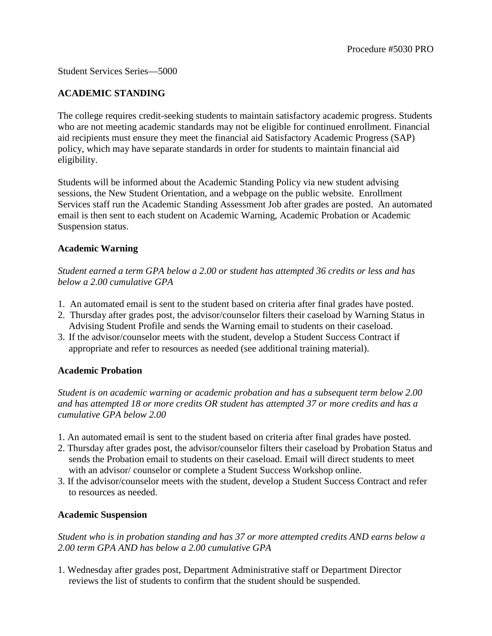## Student Services Series—5000

# **ACADEMIC STANDING**

The college requires credit-seeking students to maintain satisfactory academic progress. Students who are not meeting academic standards may not be eligible for continued enrollment. Financial aid recipients must ensure they meet the financial aid Satisfactory Academic Progress (SAP) policy, which may have separate standards in order for students to maintain financial aid eligibility.

Students will be informed about the Academic Standing Policy via new student advising sessions, the New Student Orientation, and a webpage on the public website. Enrollment Services staff run the Academic Standing Assessment Job after grades are posted. An automated email is then sent to each student on Academic Warning, Academic Probation or Academic Suspension status.

### **Academic Warning**

*Student earned a term GPA below a 2.00 or student has attempted 36 credits or less and has below a 2.00 cumulative GPA*

- 1. An automated email is sent to the student based on criteria after final grades have posted.
- 2. Thursday after grades post, the advisor/counselor filters their caseload by Warning Status in Advising Student Profile and sends the Warning email to students on their caseload.
- 3. If the advisor/counselor meets with the student, develop a Student Success Contract if appropriate and refer to resources as needed (see additional training material).

### **Academic Probation**

*Student is on academic warning or academic probation and has a subsequent term below 2.00 and has attempted 18 or more credits OR student has attempted 37 or more credits and has a cumulative GPA below 2.00*

- 1. An automated email is sent to the student based on criteria after final grades have posted.
- 2. Thursday after grades post, the advisor/counselor filters their caseload by Probation Status and sends the Probation email to students on their caseload. Email will direct students to meet with an advisor/ counselor or complete a Student Success Workshop online.
- 3. If the advisor/counselor meets with the student, develop a Student Success Contract and refer to resources as needed.

### **Academic Suspension**

*Student who is in probation standing and has 37 or more attempted credits AND earns below a 2.00 term GPA AND has below a 2.00 cumulative GPA*

1. Wednesday after grades post, Department Administrative staff or Department Director reviews the list of students to confirm that the student should be suspended.